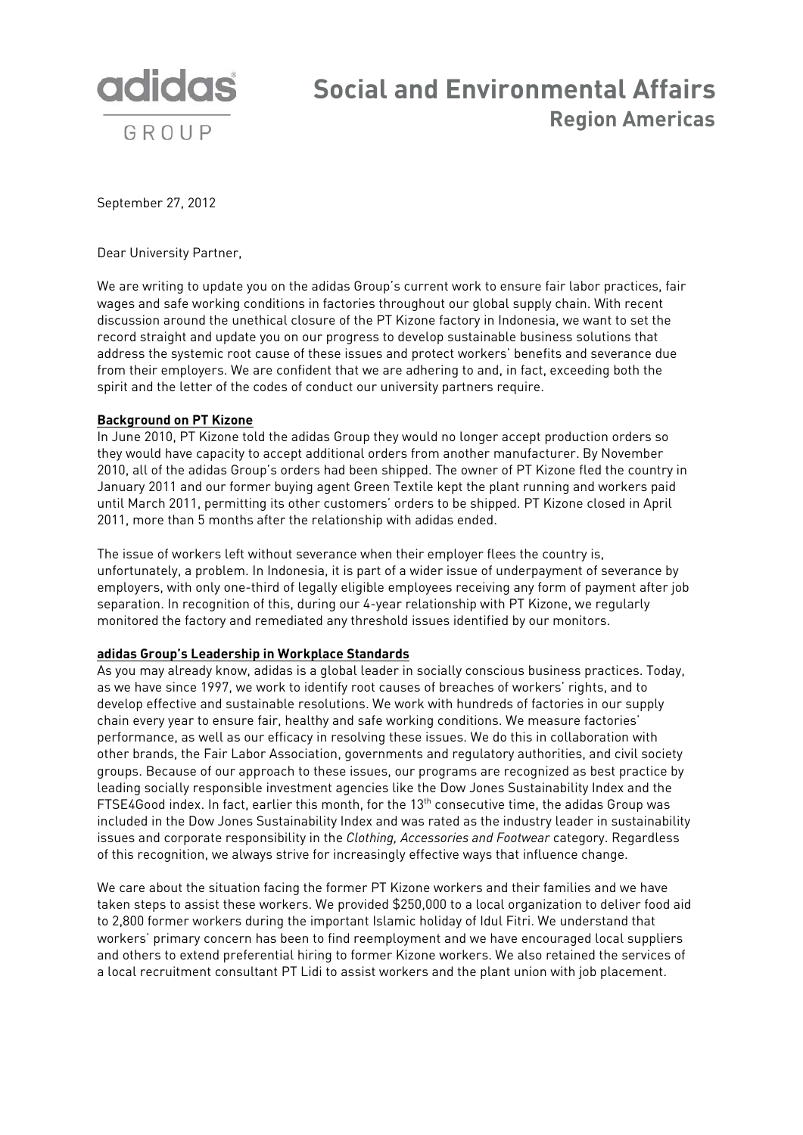

## **Social and Environmental Affairs Region Americas**

September 27, 2012

Dear University Partner,

We are writing to update you on the adidas Group's current work to ensure fair labor practices, fair wages and safe working conditions in factories throughout our global supply chain. With recent discussion around the unethical closure of the PT Kizone factory in Indonesia, we want to set the record straight and update you on our progress to develop sustainable business solutions that address the systemic root cause of these issues and protect workers' benefits and severance due from their employers. We are confident that we are adhering to and, in fact, exceeding both the spirit and the letter of the codes of conduct our university partners require.

## **Background on PT Kizone**

In June 2010, PT Kizone told the adidas Group they would no longer accept production orders so they would have capacity to accept additional orders from another manufacturer. By November 2010, all of the adidas Group's orders had been shipped. The owner of PT Kizone fled the country in January 2011 and our former buying agent Green Textile kept the plant running and workers paid until March 2011, permitting its other customers' orders to be shipped. PT Kizone closed in April 2011, more than 5 months after the relationship with adidas ended.

The issue of workers left without severance when their employer flees the country is, unfortunately, a problem. In Indonesia, it is part of a wider issue of underpayment of severance by employers, with only one-third of legally eligible employees receiving any form of payment after job separation. In recognition of this, during our 4-year relationship with PT Kizone, we regularly monitored the factory and remediated any threshold issues identified by our monitors.

## **adidas Group's Leadership in Workplace Standards**

As you may already know, adidas is a global leader in socially conscious business practices. Today, as we have since 1997, we work to identify root causes of breaches of workers' rights, and to develop effective and sustainable resolutions. We work with hundreds of factories in our supply chain every year to ensure fair, healthy and safe working conditions. We measure factories' performance, as well as our efficacy in resolving these issues. We do this in collaboration with other brands, the Fair Labor Association, governments and regulatory authorities, and civil society groups. Because of our approach to these issues, our programs are recognized as best practice by leading socially responsible investment agencies like the Dow Jones Sustainability Index and the FTSE4Good index. In fact, earlier this month, for the 13<sup>th</sup> consecutive time, the adidas Group was included in the Dow Jones Sustainability Index and was rated as the industry leader in sustainability issues and corporate responsibility in the *Clothing, Accessories and Footwear* category. Regardless of this recognition, we always strive for increasingly effective ways that influence change.

We care about the situation facing the former PT Kizone workers and their families and we have taken steps to assist these workers. We provided \$250,000 to a local organization to deliver food aid to 2,800 former workers during the important Islamic holiday of Idul Fitri. We understand that workers' primary concern has been to find reemployment and we have encouraged local suppliers and others to extend preferential hiring to former Kizone workers. We also retained the services of a local recruitment consultant PT Lidi to assist workers and the plant union with job placement.